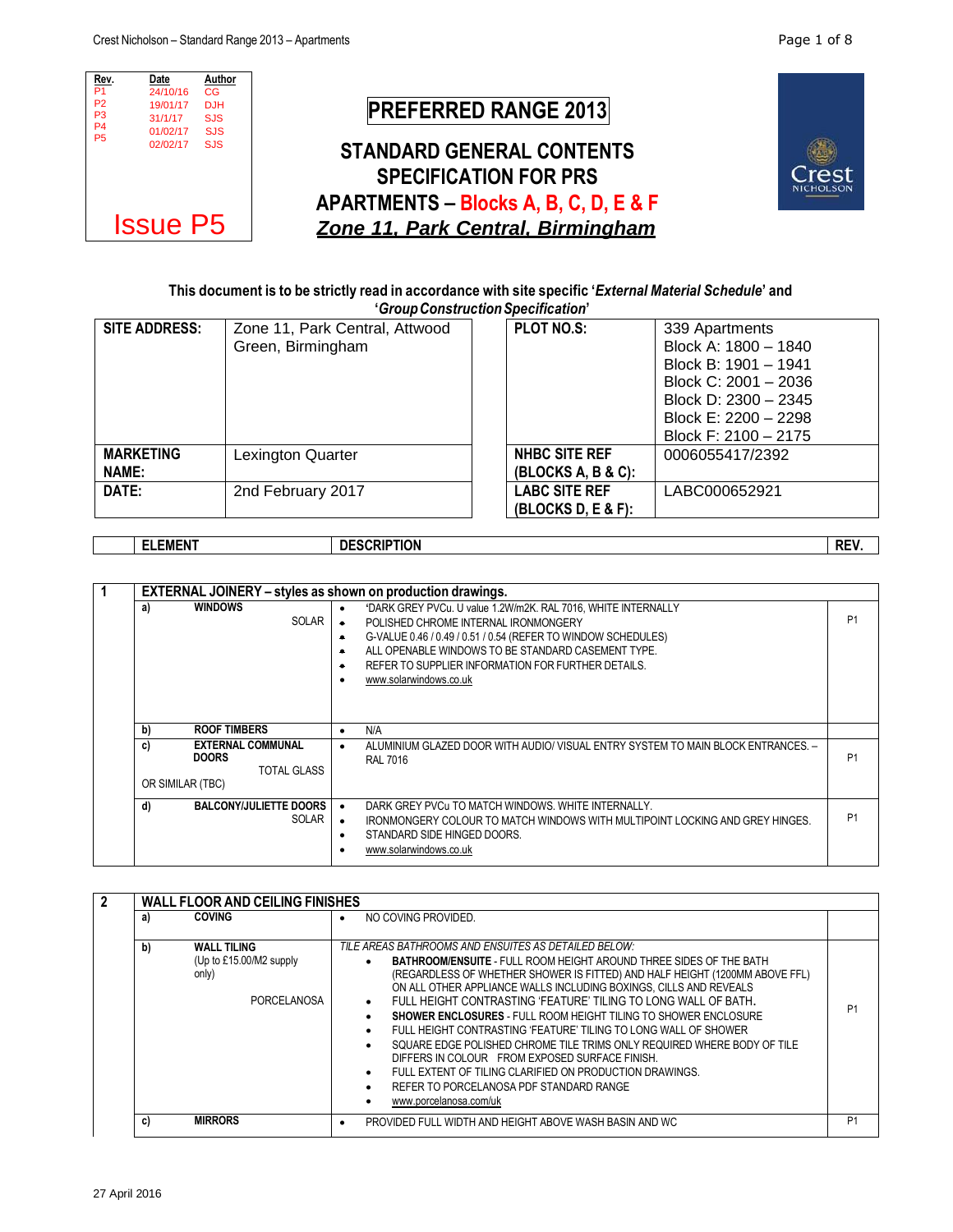

## This document is to be strictly read in accordance with site specific 'External Material Schedule' and **'***GroupConstructionSpecification***'**

| <b>SITE ADDRESS:</b> | Zone 11, Park Central, Attwood | <b>PLOT NO.S:</b>      | 339 Apartments       |
|----------------------|--------------------------------|------------------------|----------------------|
|                      | Green, Birmingham              |                        | Block A: 1800 - 1840 |
|                      |                                |                        | Block B: 1901 - 1941 |
|                      |                                |                        | Block C: 2001 - 2036 |
|                      |                                |                        | Block D: 2300 - 2345 |
|                      |                                |                        | Block E: 2200 - 2298 |
|                      |                                |                        | Block F: 2100 - 2175 |
| <b>MARKETING</b>     | Lexington Quarter              | NHBC SITE REF          | 0006055417/2392      |
| <b>NAME:</b>         |                                | $(BLEOCKS A, B & C)$ : |                      |
| DATE:                | 2nd February 2017              | <b>LABC SITE REF</b>   | LABC000652921        |
|                      |                                | $(BLE & F)$ :          |                      |

|  | <b>.EMEN1</b><br>-- | <b>DESCRIPTION</b> | REV. |
|--|---------------------|--------------------|------|
|--|---------------------|--------------------|------|

| <b>EXTERNAL JOINERY</b> – styles as shown on production drawings. |                                                                               |                                                                                                                                                                                                                                                                                                              |                |
|-------------------------------------------------------------------|-------------------------------------------------------------------------------|--------------------------------------------------------------------------------------------------------------------------------------------------------------------------------------------------------------------------------------------------------------------------------------------------------------|----------------|
| <b>WINDOWS</b><br>a)                                              | $\bullet$<br><b>SOLAR</b><br>$\bullet$<br>$\bullet$<br>$\bullet$<br>$\bullet$ | 'DARK GREY PVCu. U value 1.2W/m2K. RAL 7016, WHITE INTERNALLY<br>POLISHED CHROME INTERNAL IRONMONGERY<br>G-VALUE 0.46 / 0.49 / 0.51 / 0.54 (REFER TO WINDOW SCHEDULES)<br>ALL OPENABLE WINDOWS TO BE STANDARD CASEMENT TYPE.<br>REFER TO SUPPLIER INFORMATION FOR FURTHER DETAILS.<br>www.solarwindows.co.uk | P <sub>1</sub> |
| <b>ROOF TIMBERS</b><br>b)                                         | $\bullet$                                                                     | N/A                                                                                                                                                                                                                                                                                                          |                |
| <b>EXTERNAL COMMUNAL</b><br>c)<br><b>DOORS</b>                    | $\bullet$<br><b>TOTAL GLASS</b>                                               | ALUMINIUM GLAZED DOOR WITH AUDIO/ VISUAL ENTRY SYSTEM TO MAIN BLOCK ENTRANCES. -<br><b>RAL 7016</b>                                                                                                                                                                                                          | P <sub>1</sub> |
| OR SIMILAR (TBC)                                                  |                                                                               |                                                                                                                                                                                                                                                                                                              |                |
| <b>BALCONY/JULIETTE DOORS</b><br>d)                               | SOLAR<br>$\bullet$<br>٠                                                       | DARK GREY PVCu TO MATCH WINDOWS. WHITE INTERNALLY.<br>IRONMONGERY COLOUR TO MATCH WINDOWS WITH MULTIPOINT LOCKING AND GREY HINGES.<br>STANDARD SIDE HINGED DOORS.<br>www.solarwindows.co.uk                                                                                                                  | P <sub>1</sub> |

|  |    | <b>WALL FLOOR AND CEILING FINISHES</b>                                       |                                                                                                                                                                                                                                                                                                                                                                                                                                                                                                                                                                                                                                                                                                                                                                                                          |                |
|--|----|------------------------------------------------------------------------------|----------------------------------------------------------------------------------------------------------------------------------------------------------------------------------------------------------------------------------------------------------------------------------------------------------------------------------------------------------------------------------------------------------------------------------------------------------------------------------------------------------------------------------------------------------------------------------------------------------------------------------------------------------------------------------------------------------------------------------------------------------------------------------------------------------|----------------|
|  | a) | <b>COVING</b>                                                                | NO COVING PROVIDED.<br>$\bullet$                                                                                                                                                                                                                                                                                                                                                                                                                                                                                                                                                                                                                                                                                                                                                                         |                |
|  | b) | <b>WALL TILING</b><br>(Up to £15.00/M2 supply<br>only)<br><b>PORCELANOSA</b> | TILE AREAS BATHROOMS AND ENSUITES AS DETAILED BELOW:<br><b>BATHROOM/ENSUITE - FULL ROOM HEIGHT AROUND THREE SIDES OF THE BATH</b><br>(REGARDLESS OF WHETHER SHOWER IS FITTED) AND HALF HEIGHT (1200MM ABOVE FFL)<br>ON ALL OTHER APPLIANCE WALLS INCLUDING BOXINGS. CILLS AND REVEALS<br>FULL HEIGHT CONTRASTING 'FEATURE' TILING TO LONG WALL OF BATH.<br>$\bullet$<br><b>SHOWER ENCLOSURES - FULL ROOM HEIGHT TILING TO SHOWER ENCLOSURE</b><br>FULL HEIGHT CONTRASTING 'FEATURE' TILING TO LONG WALL OF SHOWER<br>$\bullet$<br>SQUARE EDGE POLISHED CHROME TILE TRIMS ONLY REQUIRED WHERE BODY OF TILE<br>DIFFERS IN COLOUR FROM EXPOSED SURFACE FINISH.<br>FULL EXTENT OF TILING CLARIFIED ON PRODUCTION DRAWINGS.<br>$\bullet$<br>REFER TO PORCELANOSA PDF STANDARD RANGE<br>www.porcelanosa.com/uk | P <sub>1</sub> |
|  | C) | <b>MIRRORS</b>                                                               | PROVIDED FULL WIDTH AND HEIGHT ABOVE WASH BASIN AND WC                                                                                                                                                                                                                                                                                                                                                                                                                                                                                                                                                                                                                                                                                                                                                   | P <sub>1</sub> |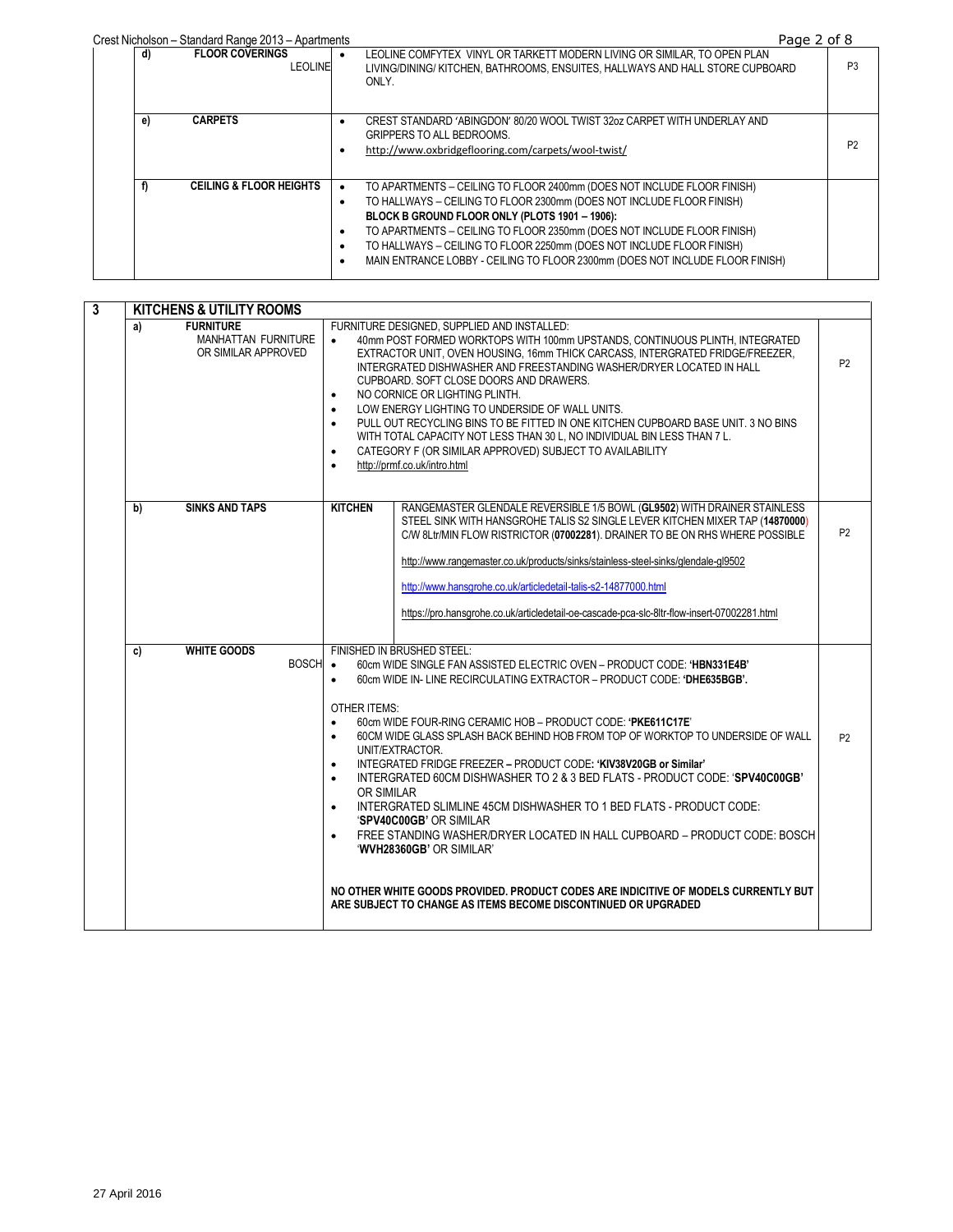Crest Nicholson – Standard Range 2013 – Apartments<br>| **FLOOR COVERINGS** | • LEOLINE COMFYTEX VINYL OR TARKETT MODERN LIVING OR SIMILAR, TO OPEN PLAN **d) FLOOR COVERINGS** LEOLINE LEOLINE COMFYTEX VINYL OR TARKETT MODERN LIVING OR SIMILAR, TO OPEN PLAN LIVING/DINING/ KITCHEN, BATHROOMS, ENSUITES, HALLWAYS AND HALL STORE CUPBOARD ONLY. P3 **e) CARPETS CARPETS CREST STANDARD 'ABINGDON' 80/20 WOOL TWIST 32oz CARPET WITH UNDERLAY AND** GRIPPERS TO ALL BEDROOMS. http://www.oxbridgeflooring.com/carpets/wool-twist/<br>
P2 f) CEILING & FLOOR HEIGHTS . TO APARTMENTS – CEILING TO FLOOR 2400mm (DOES NOT INCLUDE FLOOR FINISH) TO HALLWAYS – CEILING TO FLOOR 2300mm (DOES NOT INCLUDE FLOOR FINISH) **BLOCK B GROUND FLOOR ONLY (PLOTS 1901 – 1906):** TO APARTMENTS – CEILING TO FLOOR 2350mm (DOES NOT INCLUDE FLOOR FINISH) TO HALLWAYS – CEILING TO FLOOR 2250mm (DOES NOT INCLUDE FLOOR FINISH) MAIN ENTRANCE LOBBY - CEILING TO FLOOR 2300mm (DOES NOT INCLUDE FLOOR FINISH)

| $\mathbf{3}$ | <b>KITCHENS &amp; UTILITY ROOMS</b>                                         |                                                                                                                                                                                                                                                                                                                                                                                                                                                                                                                                                                                                                                                                                                                                                                                                                                                                                                                                                                                                                             |                |
|--------------|-----------------------------------------------------------------------------|-----------------------------------------------------------------------------------------------------------------------------------------------------------------------------------------------------------------------------------------------------------------------------------------------------------------------------------------------------------------------------------------------------------------------------------------------------------------------------------------------------------------------------------------------------------------------------------------------------------------------------------------------------------------------------------------------------------------------------------------------------------------------------------------------------------------------------------------------------------------------------------------------------------------------------------------------------------------------------------------------------------------------------|----------------|
|              | <b>FURNITURE</b><br>a)<br><b>MANHATTAN FURNITURE</b><br>OR SIMILAR APPROVED | FURNITURE DESIGNED, SUPPLIED AND INSTALLED:<br>40mm POST FORMED WORKTOPS WITH 100mm UPSTANDS, CONTINUOUS PLINTH, INTEGRATED<br>$\bullet$<br>EXTRACTOR UNIT, OVEN HOUSING, 16mm THICK CARCASS, INTERGRATED FRIDGE/FREEZER.<br>INTERGRATED DISHWASHER AND FREESTANDING WASHER/DRYER LOCATED IN HALL<br>CUPBOARD, SOFT CLOSE DOORS AND DRAWERS.<br>NO CORNICE OR LIGHTING PLINTH.<br>$\bullet$<br>LOW ENERGY LIGHTING TO UNDERSIDE OF WALL UNITS.<br>PULL OUT RECYCLING BINS TO BE FITTED IN ONE KITCHEN CUPBOARD BASE UNIT. 3 NO BINS<br>$\bullet$<br>WITH TOTAL CAPACITY NOT LESS THAN 30 L, NO INDIVIDUAL BIN LESS THAN 7 L.<br>CATEGORY F (OR SIMILAR APPROVED) SUBJECT TO AVAILABILITY<br>$\bullet$<br>http://prmf.co.uk/intro.html<br>$\bullet$                                                                                                                                                                                                                                                                          | P <sub>2</sub> |
|              | <b>SINKS AND TAPS</b><br>b)                                                 | <b>KITCHEN</b><br>RANGEMASTER GLENDALE REVERSIBLE 1/5 BOWL (GL9502) WITH DRAINER STAINLESS<br>STEEL SINK WITH HANSGROHE TALIS S2 SINGLE LEVER KITCHEN MIXER TAP (14870000)<br>C/W 8Ltr/MIN FLOW RISTRICTOR (07002281). DRAINER TO BE ON RHS WHERE POSSIBLE<br>http://www.rangemaster.co.uk/products/sinks/stainless-steel-sinks/glendale-gl9502<br>http://www.hansgrohe.co.uk/articledetail-talis-s2-14877000.html<br>https://pro.hansgrohe.co.uk/articledetail-oe-cascade-pca-slc-8ltr-flow-insert-07002281.html                                                                                                                                                                                                                                                                                                                                                                                                                                                                                                           | P <sub>2</sub> |
|              | <b>WHITE GOODS</b><br>c)<br><b>BOSCH</b>                                    | FINISHED IN BRUSHED STEEL:<br>60cm WIDE SINGLE FAN ASSISTED ELECTRIC OVEN - PRODUCT CODE: 'HBN331E4B'<br>$\bullet$<br>60cm WIDE IN- LINE RECIRCULATING EXTRACTOR - PRODUCT CODE: 'DHE635BGB'.<br>$\bullet$<br><b>OTHER ITEMS:</b><br>60cm WIDE FOUR-RING CERAMIC HOB - PRODUCT CODE: 'PKE611C17E'<br>$\bullet$<br>60CM WIDE GLASS SPLASH BACK BEHIND HOB FROM TOP OF WORKTOP TO UNDERSIDE OF WALL<br>$\bullet$<br>UNIT/EXTRACTOR.<br>INTEGRATED FRIDGE FREEZER - PRODUCT CODE: 'KIV38V20GB or Similar'<br>$\bullet$<br>INTERGRATED 60CM DISHWASHER TO 2 & 3 BED FLATS - PRODUCT CODE: 'SPV40C00GB'<br>$\bullet$<br>OR SIMILAR<br>INTERGRATED SLIMLINE 45CM DISHWASHER TO 1 BED FLATS - PRODUCT CODE:<br>$\bullet$<br>'SPV40C00GB' OR SIMILAR<br>FREE STANDING WASHER/DRYER LOCATED IN HALL CUPBOARD - PRODUCT CODE: BOSCH<br>$\bullet$<br>'WVH28360GB' OR SIMILAR'<br>NO OTHER WHITE GOODS PROVIDED. PRODUCT CODES ARE INDICITIVE OF MODELS CURRENTLY BUT<br>ARE SUBJECT TO CHANGE AS ITEMS BECOME DISCONTINUED OR UPGRADED | P <sub>2</sub> |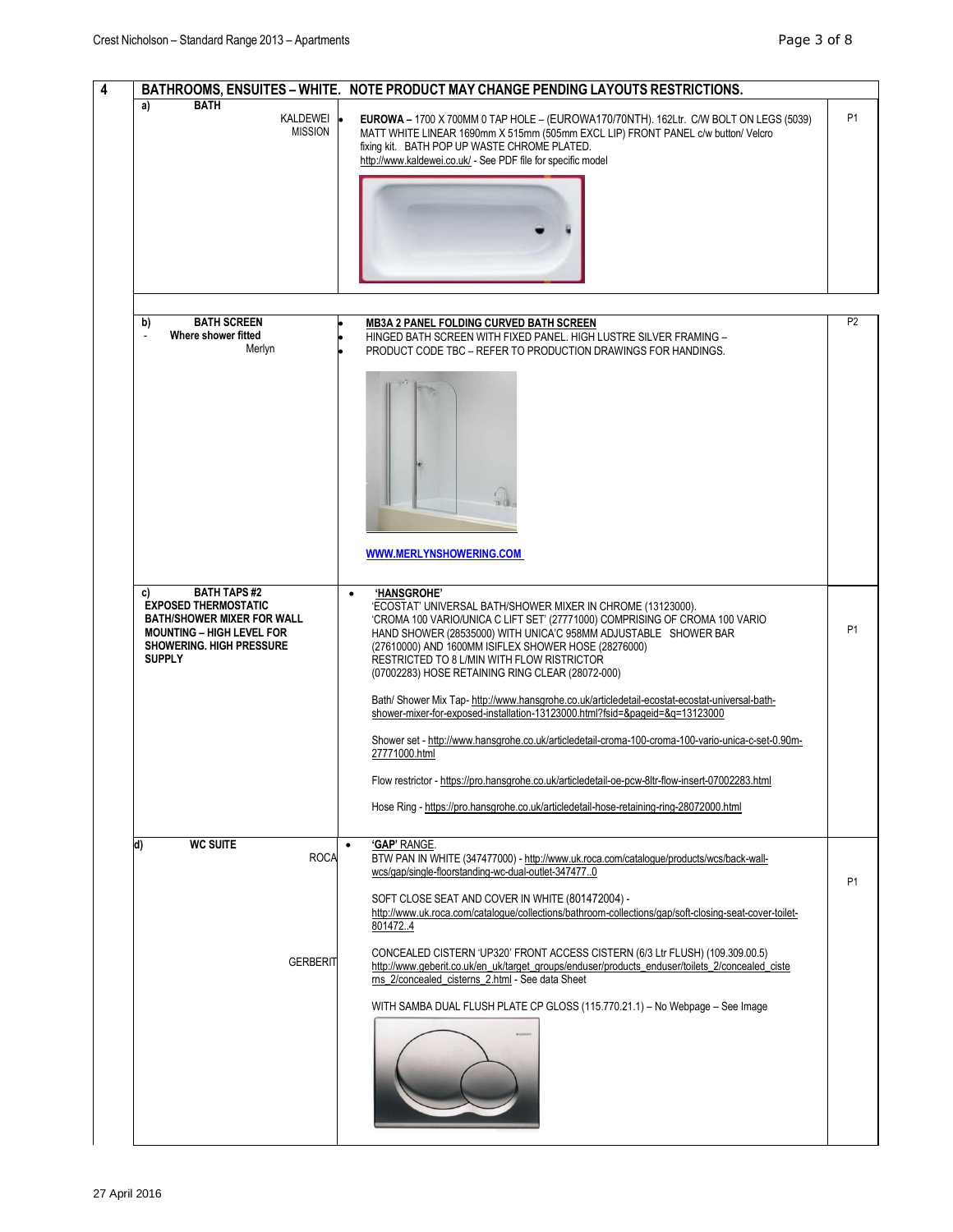|                                                                                                                                                                                      | BATHROOMS, ENSUITES - WHITE. NOTE PRODUCT MAY CHANGE PENDING LAYOUTS RESTRICTIONS.                                                                                                                                                                                                                                                                                                                  |                |
|--------------------------------------------------------------------------------------------------------------------------------------------------------------------------------------|-----------------------------------------------------------------------------------------------------------------------------------------------------------------------------------------------------------------------------------------------------------------------------------------------------------------------------------------------------------------------------------------------------|----------------|
| <b>BATH</b><br>a)<br>KALDEWEI <sup>.</sup><br><b>MISSION</b>                                                                                                                         | EUROWA - 1700 X 700MM 0 TAP HOLE - (EUROWA170/70NTH). 162Ltr. C/W BOLT ON LEGS (5039)<br>MATT WHITE LINEAR 1690mm X 515mm (505mm EXCL LIP) FRONT PANEL c/w button/ Velcro<br>fixing kit. BATH POP UP WASTE CHROME PLATED.<br>http://www.kaldewei.co.uk/ - See PDF file for specific model                                                                                                           | <b>P1</b>      |
|                                                                                                                                                                                      |                                                                                                                                                                                                                                                                                                                                                                                                     |                |
|                                                                                                                                                                                      |                                                                                                                                                                                                                                                                                                                                                                                                     |                |
| <b>BATH SCREEN</b><br>b)<br>Where shower fitted<br>Merlyn                                                                                                                            | <b>MB3A 2 PANEL FOLDING CURVED BATH SCREEN</b><br>HINGED BATH SCREEN WITH FIXED PANEL. HIGH LUSTRE SILVER FRAMING -<br>PRODUCT CODE TBC - REFER TO PRODUCTION DRAWINGS FOR HANDINGS.                                                                                                                                                                                                                | P <sub>2</sub> |
|                                                                                                                                                                                      |                                                                                                                                                                                                                                                                                                                                                                                                     |                |
|                                                                                                                                                                                      |                                                                                                                                                                                                                                                                                                                                                                                                     |                |
|                                                                                                                                                                                      |                                                                                                                                                                                                                                                                                                                                                                                                     |                |
|                                                                                                                                                                                      | WWW.MERLYNSHOWERING.COM                                                                                                                                                                                                                                                                                                                                                                             |                |
| <b>BATH TAPS#2</b><br>C)<br><b>EXPOSED THERMOSTATIC</b><br><b>BATH/SHOWER MIXER FOR WALL</b><br><b>MOUNTING - HIGH LEVEL FOR</b><br><b>SHOWERING. HIGH PRESSURE</b><br><b>SUPPLY</b> | 'HANSGROHE'<br>$\bullet$<br>'ECOSTAT' UNIVERSAL BATH/SHOWER MIXER IN CHROME (13123000).<br>'CROMA 100 VARIO/UNICA C LIFT SET' (27771000) COMPRISING OF CROMA 100 VARIO<br>HAND SHOWER (28535000) WITH UNICA'C 958MM ADJUSTABLE SHOWER BAR<br>(27610000) AND 1600MM ISIFLEX SHOWER HOSE (28276000)<br>RESTRICTED TO 8 L/MIN WITH FLOW RISTRICTOR<br>(07002283) HOSE RETAINING RING CLEAR (28072-000) | <b>P1</b>      |
|                                                                                                                                                                                      | Bath/Shower Mix Tap-http://www.hansgrohe.co.uk/articledetail-ecostat-ecostat-universal-bath-shower-mixer-for-exposed-installation-13123000.html?fsid=&pageid=&q=13123000                                                                                                                                                                                                                            |                |
|                                                                                                                                                                                      | Shower set - http://www.hansgrohe.co.uk/articledetail-croma-100-croma-100-vario-unica-c-set-0.90m-<br>27771000.html                                                                                                                                                                                                                                                                                 |                |
|                                                                                                                                                                                      | Flow restrictor - https://pro.hansgrohe.co.uk/articledetail-oe-pcw-8ltr-flow-insert-07002283.html                                                                                                                                                                                                                                                                                                   |                |
|                                                                                                                                                                                      | Hose Ring - https://pro.hansgrohe.co.uk/articledetail-hose-retaining-ring-28072000.html                                                                                                                                                                                                                                                                                                             |                |
| <b>WC SUITE</b><br>d)<br><b>ROCA</b>                                                                                                                                                 | 'GAP' RANGE.<br>$\bullet$<br>BTW PAN IN WHITE (347477000) - http://www.uk.roca.com/catalogue/products/wcs/back-wall-<br>wcs/gap/single-floorstanding-wc-dual-outlet-3474770                                                                                                                                                                                                                         | P <sub>1</sub> |
|                                                                                                                                                                                      | SOFT CLOSE SEAT AND COVER IN WHITE (801472004) -<br>http://www.uk.roca.com/cataloque/collections/bathroom-collections/gap/soft-closing-seat-cover-toilet-<br>8014724                                                                                                                                                                                                                                |                |
| <b>GERBERIT</b>                                                                                                                                                                      | CONCEALED CISTERN 'UP320' FRONT ACCESS CISTERN (6/3 Ltr FLUSH) (109.309.00.5)<br>http://www.geberit.co.uk/en_uk/target_groups/enduser/products_enduser/toilets_2/concealed_ciste<br>rns 2/concealed cisterns 2.html - See data Sheet                                                                                                                                                                |                |
|                                                                                                                                                                                      | WITH SAMBA DUAL FLUSH PLATE CP GLOSS (115.770.21.1) - No Webpage - See Image                                                                                                                                                                                                                                                                                                                        |                |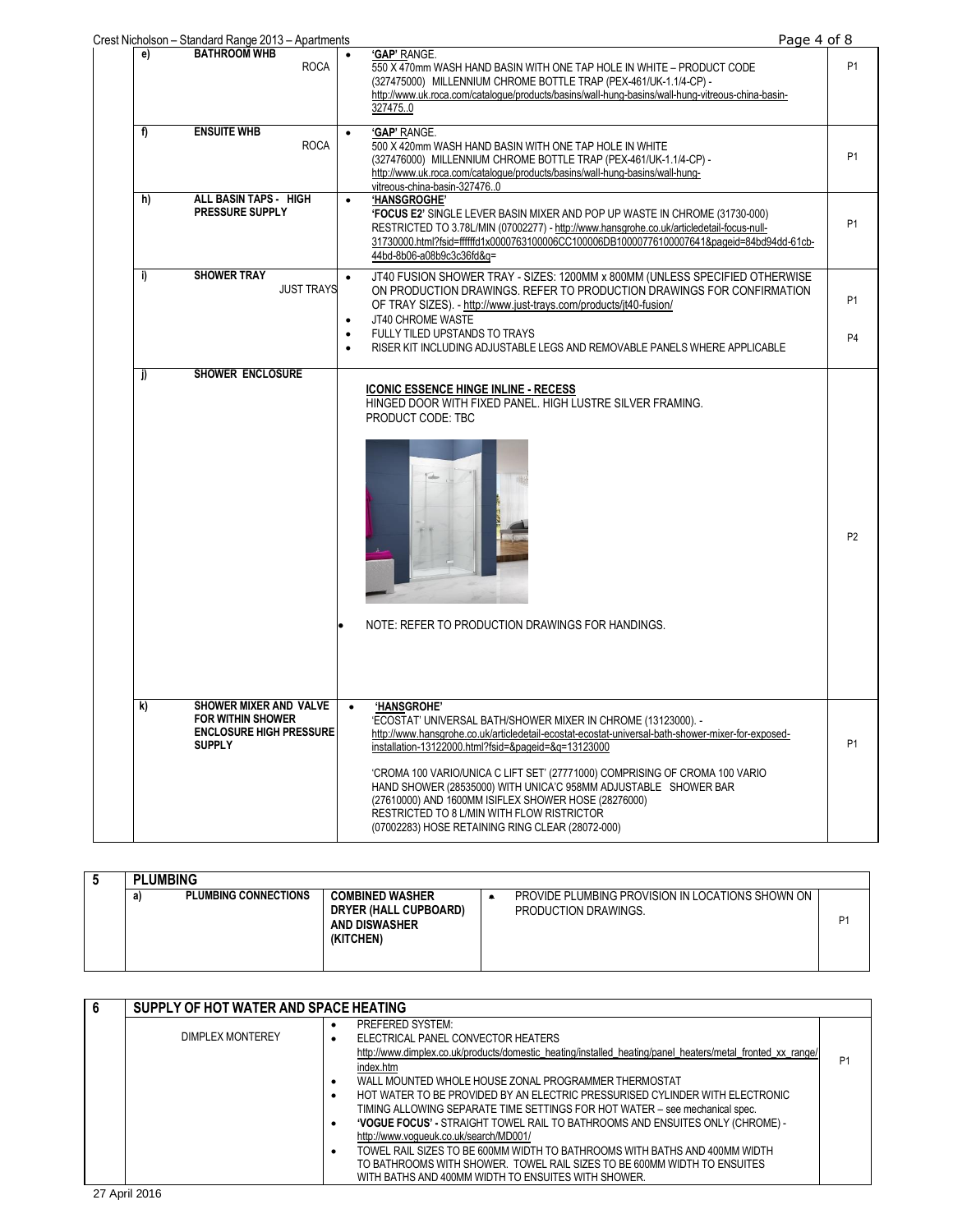|    | Crest Nicholson - Standard Range 2013 - Apartments                                                    | Page 4 of 8                                                                                                                                                                                                                                                                                                                                                                                                                                                                                                   |                |
|----|-------------------------------------------------------------------------------------------------------|---------------------------------------------------------------------------------------------------------------------------------------------------------------------------------------------------------------------------------------------------------------------------------------------------------------------------------------------------------------------------------------------------------------------------------------------------------------------------------------------------------------|----------------|
| e) | <b>BATHROOM WHB</b><br><b>ROCA</b>                                                                    | 'GAP' RANGE.<br>$\bullet$<br>550 X 470mm WASH HAND BASIN WITH ONE TAP HOLE IN WHITE - PRODUCT CODE<br>(327475000) MILLENNIUM CHROME BOTTLE TRAP (PEX-461/UK-1.1/4-CP) -<br>http://www.uk.roca.com/cataloque/products/basins/wall-hung-basins/wall-hung-vitreous-china-basin-<br>327475.0                                                                                                                                                                                                                      | <b>P1</b>      |
| f) | <b>ENSUITE WHB</b><br><b>ROCA</b>                                                                     | 'GAP' RANGE.<br>$\bullet$<br>500 X 420mm WASH HAND BASIN WITH ONE TAP HOLE IN WHITE<br>(327476000) MILLENNIUM CHROME BOTTLE TRAP (PEX-461/UK-1.1/4-CP) -<br>http://www.uk.roca.com/catalogue/products/basins/wall-hung-basins/wall-hung-<br>vitreous-china-basin-3274760                                                                                                                                                                                                                                      | P <sub>1</sub> |
| h) | ALL BASIN TAPS - HIGH<br><b>PRESSURE SUPPLY</b>                                                       | 'HANSGROGHE'<br>$\bullet$<br><b>'FOCUS E2' SINGLE LEVER BASIN MIXER AND POP UP WASTE IN CHROME (31730-000)</b><br>RESTRICTED TO 3.78L/MIN (07002277) - http://www.hansgrohe.co.uk/articledetail-focus-null-<br>31730000.html?fsid=ffffffd1x0000763100006CC100006DB10000776100007641&pageid=84bd94dd-61cb-<br>44bd-8b06-a08b9c3c36fd&q=                                                                                                                                                                        | P <sub>1</sub> |
| i) | <b>SHOWER TRAY</b><br><b>JUST TRAYS</b>                                                               | JT40 FUSION SHOWER TRAY - SIZES: 1200MM x 800MM (UNLESS SPECIFIED OTHERWISE<br>$\bullet$<br>ON PRODUCTION DRAWINGS. REFER TO PRODUCTION DRAWINGS FOR CONFIRMATION<br>OF TRAY SIZES). - http://www.just-trays.com/products/jt40-fusion/<br>JT40 CHROME WASTE<br>$\bullet$                                                                                                                                                                                                                                      | P <sub>1</sub> |
|    |                                                                                                       | FULLY TILED UPSTANDS TO TRAYS<br>RISER KIT INCLUDING ADJUSTABLE LEGS AND REMOVABLE PANELS WHERE APPLICABLE                                                                                                                                                                                                                                                                                                                                                                                                    | P <sub>4</sub> |
|    |                                                                                                       | <b>ICONIC ESSENCE HINGE INLINE - RECESS</b><br>HINGED DOOR WITH FIXED PANEL. HIGH LUSTRE SILVER FRAMING.<br>PRODUCT CODE: TBC<br>NOTE: REFER TO PRODUCTION DRAWINGS FOR HANDINGS.                                                                                                                                                                                                                                                                                                                             | P <sub>2</sub> |
| k) | SHOWER MIXER AND VALVE<br><b>FOR WITHIN SHOWER</b><br><b>ENCLOSURE HIGH PRESSURE</b><br><b>SUPPLY</b> | 'HANSGROHE'<br>$\bullet$<br>'ECOSTAT' UNIVERSAL BATH/SHOWER MIXER IN CHROME (13123000). -<br>http://www.hansgrohe.co.uk/articledetail-ecostat-ecostat-universal-bath-shower-mixer-for-exposed-<br>installation-13122000.html?fsid=&pageid=&g=13123000<br>'CROMA 100 VARIO/UNICA C LIFT SET' (27771000) COMPRISING OF CROMA 100 VARIO<br>HAND SHOWER (28535000) WITH UNICA'C 958MM ADJUSTABLE SHOWER BAR<br>(27610000) AND 1600MM ISIFLEX SHOWER HOSE (28276000)<br>RESTRICTED TO 8 L/MIN WITH FLOW RISTRICTOR | P <sub>1</sub> |
|    |                                                                                                       | (07002283) HOSE RETAINING RING CLEAR (28072-000)                                                                                                                                                                                                                                                                                                                                                                                                                                                              |                |

| <b>PLUMBING</b>                  |                                                                                      |                                                                          |                |
|----------------------------------|--------------------------------------------------------------------------------------|--------------------------------------------------------------------------|----------------|
| <b>PLUMBING CONNECTIONS</b><br>a | <b>COMBINED WASHER</b><br>DRYER (HALL CUPBOARD)<br><b>AND DISWASHER</b><br>(KITCHEN) | PROVIDE PLUMBING PROVISION IN LOCATIONS SHOWN ON<br>PRODUCTION DRAWINGS. | P <sub>1</sub> |

| 6 | SUPPLY OF HOT WATER AND SPACE HEATING |                                                                                                                                                                                                                                                                                                                                                                         |                |
|---|---------------------------------------|-------------------------------------------------------------------------------------------------------------------------------------------------------------------------------------------------------------------------------------------------------------------------------------------------------------------------------------------------------------------------|----------------|
|   | DIMPLEX MONTEREY                      | PREFERED SYSTEM:<br>ELECTRICAL PANEL CONVECTOR HEATERS<br>٠<br>http://www.dimplex.co.uk/products/domestic heating/installed heating/panel heaters/metal fronted xx range/<br>index.htm                                                                                                                                                                                  | P <sub>1</sub> |
|   |                                       | WALL MOUNTED WHOLE HOUSE ZONAL PROGRAMMER THERMOSTAT<br>HOT WATER TO BE PROVIDED BY AN ELECTRIC PRESSURISED CYLINDER WITH ELECTRONIC<br>$\bullet$<br>TIMING ALLOWING SEPARATE TIME SETTINGS FOR HOT WATER - see mechanical spec.<br><b>'VOGUE FOCUS' - STRAIGHT TOWEL RAIL TO BATHROOMS AND ENSUITES ONLY (CHROME) -</b><br>٠<br>http://www.voqueuk.co.uk/search/MD001/ |                |
|   | 0.7110040                             | TOWEL RAIL SIZES TO BE 600MM WIDTH TO BATHROOMS WITH BATHS AND 400MM WIDTH<br>٠<br>TO BATHROOMS WITH SHOWER. TOWEL RAIL SIZES TO BE 600MM WIDTH TO ENSUITES<br>WITH BATHS AND 400MM WIDTH TO ENSUITES WITH SHOWER.                                                                                                                                                      |                |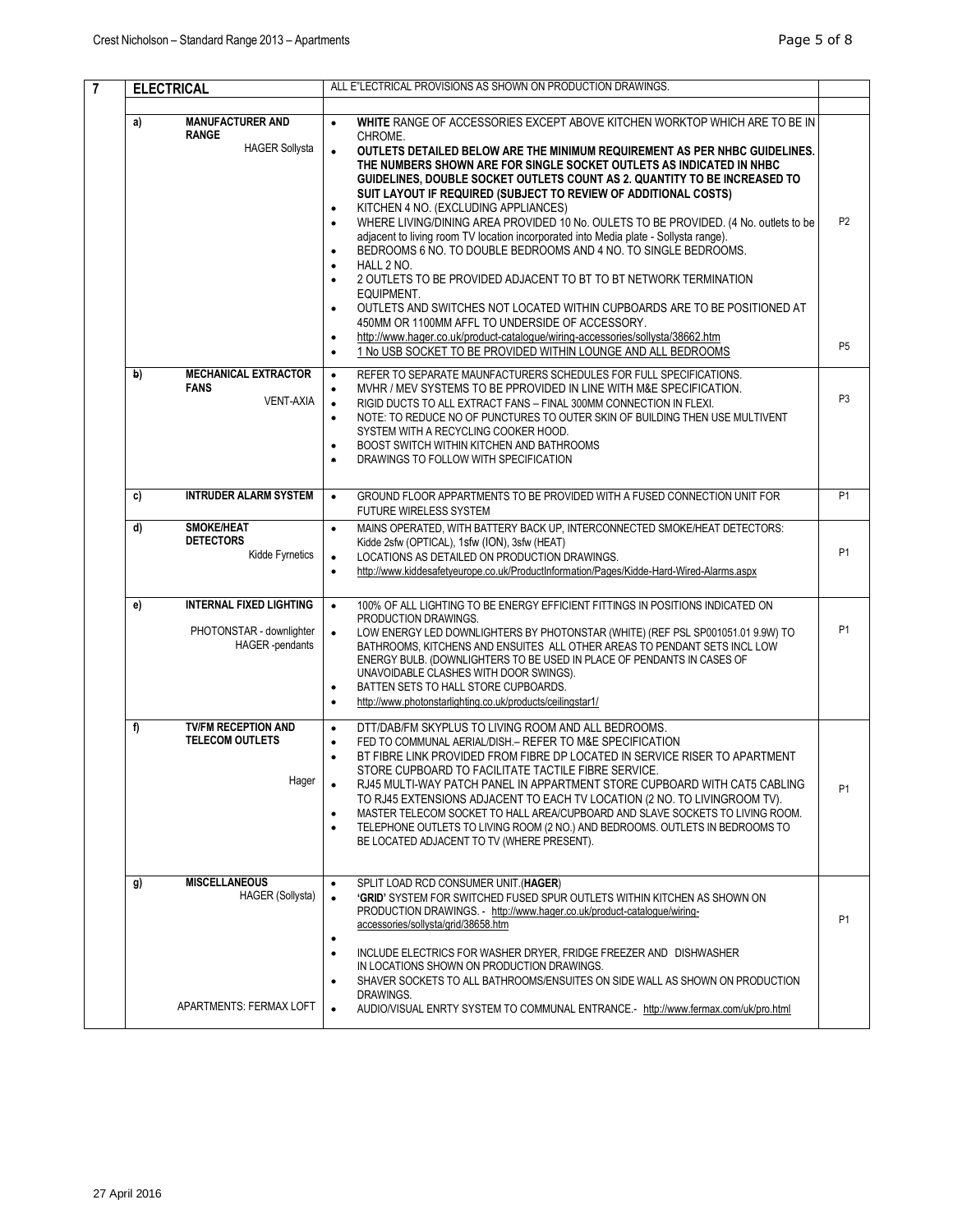| $\overline{7}$ | <b>ELECTRICAL</b>                                                                          | ALL E"LECTRICAL PROVISIONS AS SHOWN ON PRODUCTION DRAWINGS.                                                                                                                                                                                                                                                                                                                                                                                                                                                                                                                                                                                                                                                                                                                                                                                                                                                                                                                                                                                                                                                                                                                                                  |                                  |
|----------------|--------------------------------------------------------------------------------------------|--------------------------------------------------------------------------------------------------------------------------------------------------------------------------------------------------------------------------------------------------------------------------------------------------------------------------------------------------------------------------------------------------------------------------------------------------------------------------------------------------------------------------------------------------------------------------------------------------------------------------------------------------------------------------------------------------------------------------------------------------------------------------------------------------------------------------------------------------------------------------------------------------------------------------------------------------------------------------------------------------------------------------------------------------------------------------------------------------------------------------------------------------------------------------------------------------------------|----------------------------------|
|                | <b>MANUFACTURER AND</b><br>a)<br><b>RANGE</b><br><b>HAGER Sollysta</b>                     | WHITE RANGE OF ACCESSORIES EXCEPT ABOVE KITCHEN WORKTOP WHICH ARE TO BE IN<br>$\bullet$<br>CHROME.<br>$\bullet$<br>OUTLETS DETAILED BELOW ARE THE MINIMUM REQUIREMENT AS PER NHBC GUIDELINES.<br>THE NUMBERS SHOWN ARE FOR SINGLE SOCKET OUTLETS AS INDICATED IN NHBC<br>GUIDELINES. DOUBLE SOCKET OUTLETS COUNT AS 2. QUANTITY TO BE INCREASED TO<br>SUIT LAYOUT IF REQUIRED (SUBJECT TO REVIEW OF ADDITIONAL COSTS)<br>KITCHEN 4 NO. (EXCLUDING APPLIANCES)<br>$\bullet$<br>WHERE LIVING/DINING AREA PROVIDED 10 No. OULETS TO BE PROVIDED. (4 No. outlets to be<br>$\bullet$<br>adjacent to living room TV location incorporated into Media plate - Sollysta range).<br>BEDROOMS 6 NO. TO DOUBLE BEDROOMS AND 4 NO. TO SINGLE BEDROOMS.<br>$\bullet$<br>HALL 2 NO.<br>$\bullet$<br>2 OUTLETS TO BE PROVIDED ADJACENT TO BT TO BT NETWORK TERMINATION<br>$\bullet$<br>EQUIPMENT.<br>OUTLETS AND SWITCHES NOT LOCATED WITHIN CUPBOARDS ARE TO BE POSITIONED AT<br>$\bullet$<br>450MM OR 1100MM AFFL TO UNDERSIDE OF ACCESSORY.<br>http://www.hager.co.uk/product-catalogue/wiring-accessories/sollysta/38662.htm<br>$\bullet$<br>1 No USB SOCKET TO BE PROVIDED WITHIN LOUNGE AND ALL BEDROOMS<br>$\bullet$ | P <sub>2</sub><br>P <sub>5</sub> |
|                | <b>MECHANICAL EXTRACTOR</b><br>b)<br><b>FANS</b><br><b>VENT-AXIA</b>                       | REFER TO SEPARATE MAUNFACTURERS SCHEDULES FOR FULL SPECIFICATIONS.<br>$\bullet$<br>MVHR / MEV SYSTEMS TO BE PPROVIDED IN LINE WITH M&E SPECIFICATION.<br>$\bullet$<br>RIGID DUCTS TO ALL EXTRACT FANS - FINAL 300MM CONNECTION IN FLEXI.<br>$\bullet$<br>NOTE: TO REDUCE NO OF PUNCTURES TO OUTER SKIN OF BUILDING THEN USE MULTIVENT<br>$\bullet$<br>SYSTEM WITH A RECYCLING COOKER HOOD.<br>BOOST SWITCH WITHIN KITCHEN AND BATHROOMS<br>$\bullet$<br>DRAWINGS TO FOLLOW WITH SPECIFICATION<br>$\bullet$                                                                                                                                                                                                                                                                                                                                                                                                                                                                                                                                                                                                                                                                                                   | P <sub>3</sub>                   |
|                | <b>INTRUDER ALARM SYSTEM</b><br>c)                                                         | GROUND FLOOR APPARTMENTS TO BE PROVIDED WITH A FUSED CONNECTION UNIT FOR<br>$\bullet$<br><b>FUTURE WIRELESS SYSTEM</b>                                                                                                                                                                                                                                                                                                                                                                                                                                                                                                                                                                                                                                                                                                                                                                                                                                                                                                                                                                                                                                                                                       | P <sub>1</sub>                   |
|                | <b>SMOKE/HEAT</b><br>d)<br><b>DETECTORS</b><br>Kidde Fyrnetics                             | MAINS OPERATED, WITH BATTERY BACK UP, INTERCONNECTED SMOKE/HEAT DETECTORS:<br>$\bullet$<br>Kidde 2sfw (OPTICAL), 1sfw (ION), 3sfw (HEAT)<br>LOCATIONS AS DETAILED ON PRODUCTION DRAWINGS.<br>$\bullet$<br>http://www.kiddesafetyeurope.co.uk/ProductInformation/Pages/Kidde-Hard-Wired-Alarms.aspx<br>$\bullet$                                                                                                                                                                                                                                                                                                                                                                                                                                                                                                                                                                                                                                                                                                                                                                                                                                                                                              | P <sub>1</sub>                   |
|                | <b>INTERNAL FIXED LIGHTING</b><br>e)<br>PHOTONSTAR - downlighter<br><b>HAGER</b> -pendants | 100% OF ALL LIGHTING TO BE ENERGY EFFICIENT FITTINGS IN POSITIONS INDICATED ON<br>$\bullet$<br>PRODUCTION DRAWINGS.<br>$\bullet$<br>LOW ENERGY LED DOWNLIGHTERS BY PHOTONSTAR (WHITE) (REF PSL SP001051.01 9.9W) TO<br>BATHROOMS, KITCHENS AND ENSUITES ALL OTHER AREAS TO PENDANT SETS INCL LOW<br>ENERGY BULB. (DOWNLIGHTERS TO BE USED IN PLACE OF PENDANTS IN CASES OF<br>UNAVOIDABLE CLASHES WITH DOOR SWINGS).<br>BATTEN SETS TO HALL STORE CUPBOARDS.<br>$\bullet$<br>http://www.photonstarlighting.co.uk/products/ceilingstar1/<br>$\bullet$                                                                                                                                                                                                                                                                                                                                                                                                                                                                                                                                                                                                                                                         | P <sub>1</sub>                   |
|                | <b>TV/FM RECEPTION AND</b><br>f)<br><b>TELECOM OUTLETS</b><br>Hager                        | DTT/DAB/FM SKYPLUS TO LIVING ROOM AND ALL BEDROOMS.<br>$\bullet$<br>FED TO COMMUNAL AERIAL/DISH. - REFER TO M&E SPECIFICATION<br>$\bullet$<br>BT FIBRE LINK PROVIDED FROM FIBRE DP LOCATED IN SERVICE RISER TO APARTMENT<br>$\bullet$<br>STORE CUPBOARD TO FACILITATE TACTILE FIBRE SERVICE.<br>RJ45 MULTI-WAY PATCH PANEL IN APPARTMENT STORE CUPBOARD WITH CAT5 CABLING<br>TO RJ45 EXTENSIONS ADJACENT TO EACH TV LOCATION (2 NO. TO LIVINGROOM TV).<br>MASTER TELECOM SOCKET TO HALL AREA/CUPBOARD AND SLAVE SOCKETS TO LIVING ROOM.<br>$\bullet$<br>TELEPHONE OUTLETS TO LIVING ROOM (2 NO.) AND BEDROOMS. OUTLETS IN BEDROOMS TO<br>$\bullet$<br>BE LOCATED ADJACENT TO TV (WHERE PRESENT).                                                                                                                                                                                                                                                                                                                                                                                                                                                                                                             | P <sub>1</sub>                   |
|                | <b>MISCELLANEOUS</b><br>g)<br><b>HAGER (Sollysta)</b><br>APARTMENTS: FERMAX LOFT           | SPLIT LOAD RCD CONSUMER UNIT. (HAGER)<br>$\bullet$<br><b>'GRID'</b> SYSTEM FOR SWITCHED FUSED SPUR OUTLETS WITHIN KITCHEN AS SHOWN ON<br>$\bullet$<br>PRODUCTION DRAWINGS. - http://www.hager.co.uk/product-catalogue/wiring-<br>accessories/sollysta/grid/38658.htm<br>$\bullet$<br>INCLUDE ELECTRICS FOR WASHER DRYER, FRIDGE FREEZER AND DISHWASHER<br>$\bullet$<br>IN LOCATIONS SHOWN ON PRODUCTION DRAWINGS.<br>SHAVER SOCKETS TO ALL BATHROOMS/ENSUITES ON SIDE WALL AS SHOWN ON PRODUCTION<br>$\bullet$<br>DRAWINGS.<br>AUDIO/VISUAL ENRTY SYSTEM TO COMMUNAL ENTRANCE.- http://www.fermax.com/uk/pro.html<br>$\bullet$                                                                                                                                                                                                                                                                                                                                                                                                                                                                                                                                                                               | P <sub>1</sub>                   |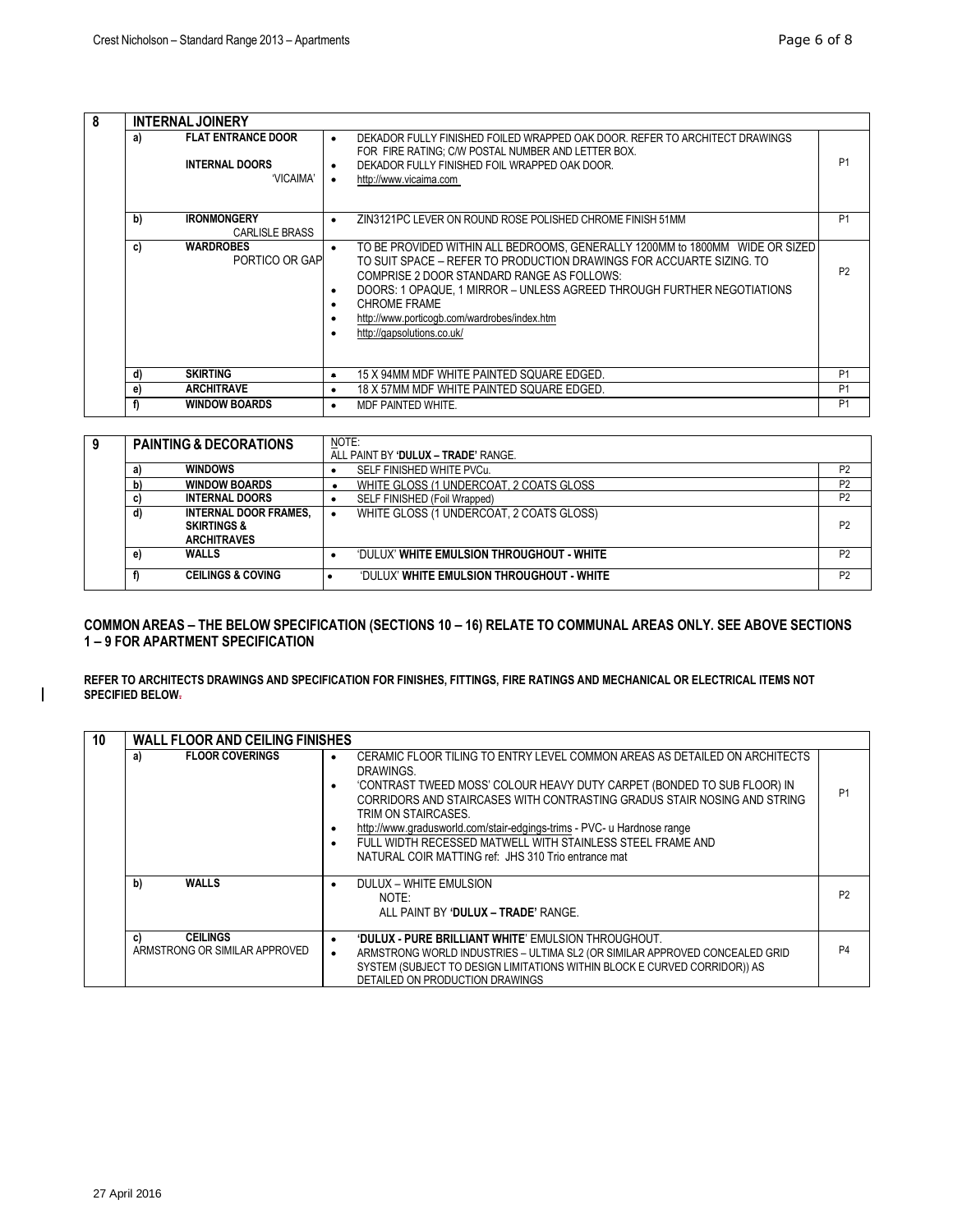| 8 | <b>INTERNAL JOINERY</b> |                                                                 |                                                                                                                                                                                                                                                                                                                                                                                                                                                    |                |
|---|-------------------------|-----------------------------------------------------------------|----------------------------------------------------------------------------------------------------------------------------------------------------------------------------------------------------------------------------------------------------------------------------------------------------------------------------------------------------------------------------------------------------------------------------------------------------|----------------|
|   | a)                      | <b>FLAT ENTRANCE DOOR</b><br><b>INTERNAL DOORS</b><br>'VICAIMA' | DEKADOR FULLY FINISHED FOILED WRAPPED OAK DOOR. REFER TO ARCHITECT DRAWINGS<br>$\bullet$<br>FOR FIRE RATING: C/W POSTAL NUMBER AND LETTER BOX.<br>DEKADOR FULLY FINISHED FOIL WRAPPED OAK DOOR.<br>$\bullet$<br>http://www.vicaima.com<br>$\bullet$                                                                                                                                                                                                | P <sub>1</sub> |
|   | b)                      | <b>IRONMONGERY</b><br><b>CARLISLE BRASS</b>                     | ZIN3121PC LEVER ON ROUND ROSE POLISHED CHROME FINISH 51MM<br>$\bullet$                                                                                                                                                                                                                                                                                                                                                                             | <b>P1</b>      |
|   | C)                      | <b>WARDROBES</b><br>PORTICO OR GAP                              | TO BE PROVIDED WITHIN ALL BEDROOMS, GENERALLY 1200MM to 1800MM WIDE OR SIZED<br>$\bullet$<br>TO SUIT SPACE – REFER TO PRODUCTION DRAWINGS FOR ACCUARTE SIZING. TO<br>COMPRISE 2 DOOR STANDARD RANGE AS FOLLOWS:<br>DOORS: 1 OPAQUE. 1 MIRROR – UNLESS AGREED THROUGH FURTHER NEGOTIATIONS<br>$\bullet$<br><b>CHROME FRAME</b><br>$\bullet$<br>http://www.porticogb.com/wardrobes/index.htm<br>$\bullet$<br>http://gapsolutions.co.uk/<br>$\bullet$ | P <sub>2</sub> |
|   | d)                      | <b>SKIRTING</b>                                                 | 15 X 94MM MDF WHITE PAINTED SOUARE EDGED.<br>$\bullet$                                                                                                                                                                                                                                                                                                                                                                                             | P <sub>1</sub> |
|   | e)                      | <b>ARCHITRAVE</b>                                               | 18 X 57MM MDF WHITE PAINTED SQUARE EDGED.<br>$\bullet$                                                                                                                                                                                                                                                                                                                                                                                             | P <sub>1</sub> |
|   | f)                      | <b>WINDOW BOARDS</b>                                            | MDF PAINTED WHITE.<br>$\bullet$                                                                                                                                                                                                                                                                                                                                                                                                                    | <b>P1</b>      |

| 9 |    | <b>PAINTING &amp; DECORATIONS</b>                                            | NOTE:<br>ALL PAINT BY 'DULUX - TRADE' RANGE. |                |
|---|----|------------------------------------------------------------------------------|----------------------------------------------|----------------|
|   | a) | <b>WINDOWS</b>                                                               | SELF FINISHED WHITE PVCu.                    | P <sub>2</sub> |
|   | b) | <b>WINDOW BOARDS</b>                                                         | WHITE GLOSS (1 UNDERCOAT, 2 COATS GLOSS      | P <sub>2</sub> |
|   | C) | <b>INTERNAL DOORS</b>                                                        | SELF FINISHED (Foil Wrapped)                 | P <sub>2</sub> |
|   | d) | <b>INTERNAL DOOR FRAMES.</b><br><b>SKIRTINGS &amp;</b><br><b>ARCHITRAVES</b> | WHITE GLOSS (1 UNDERCOAT, 2 COATS GLOSS)     | P <sub>2</sub> |
|   | e) | <b>WALLS</b>                                                                 | 'DULUX' WHITE EMULSION THROUGHOUT - WHITE    | P <sub>2</sub> |
|   |    | <b>CEILINGS &amp; COVING</b>                                                 | 'DULUX' WHITE EMULSION THROUGHOUT - WHITE    | P <sub>2</sub> |

**COMMON AREAS – THE BELOW SPECIFICATION (SECTIONS 10 – 16) RELATE TO COMMUNAL AREAS ONLY. SEE ABOVE SECTIONS 1 – 9 FOR APARTMENT SPECIFICATION**

**REFER TO ARCHITECTS DRAWINGS AND SPECIFICATION FOR FINISHES, FITTINGS, FIRE RATINGS AND MECHANICAL OR ELECTRICAL ITEMS NOT SPECIFIED BELOW.**

| 10 | <b>WALL FLOOR AND CEILING FINISHES</b>                 |                                                                                                                                                                                                                                                                                                                                                                                                                                                                                     |                |  |  |
|----|--------------------------------------------------------|-------------------------------------------------------------------------------------------------------------------------------------------------------------------------------------------------------------------------------------------------------------------------------------------------------------------------------------------------------------------------------------------------------------------------------------------------------------------------------------|----------------|--|--|
|    | <b>FLOOR COVERINGS</b><br>a)                           | CERAMIC FLOOR TILING TO ENTRY LEVEL COMMON AREAS AS DETAILED ON ARCHITECTS<br>DRAWINGS.<br>'CONTRAST TWEED MOSS' COLOUR HEAVY DUTY CARPET (BONDED TO SUB FLOOR) IN<br>٠<br>CORRIDORS AND STAIRCASES WITH CONTRASTING GRADUS STAIR NOSING AND STRING<br>TRIM ON STAIRCASES.<br>http://www.gradusworld.com/stair-edgings-trims - PVC- u Hardnose range<br>٠<br>FULL WIDTH RECESSED MATWELL WITH STAINLESS STEEL FRAME AND<br>٠<br>NATURAL COIR MATTING ref: JHS 310 Trio entrance mat | P <sub>1</sub> |  |  |
|    | <b>WALLS</b><br>b)                                     | DULUX - WHITE EMULSION<br>٠<br>NOTF <sup>.</sup><br>ALL PAINT BY 'DULUX - TRADE' RANGE.                                                                                                                                                                                                                                                                                                                                                                                             | P <sub>2</sub> |  |  |
|    | <b>CEILINGS</b><br>C)<br>ARMSTRONG OR SIMILAR APPROVED | <b>'DULUX - PURE BRILLIANT WHITE' EMULSION THROUGHOUT.</b><br>٠<br>ARMSTRONG WORLD INDUSTRIES - ULTIMA SL2 (OR SIMILAR APPROVED CONCEALED GRID<br>٠<br>SYSTEM (SUBJECT TO DESIGN LIMITATIONS WITHIN BLOCK E CURVED CORRIDOR)) AS<br>DETAILED ON PRODUCTION DRAWINGS                                                                                                                                                                                                                 | P <sub>4</sub> |  |  |